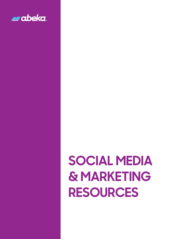

# **SOCIAL MEDIA & MARKETING RESOURCES**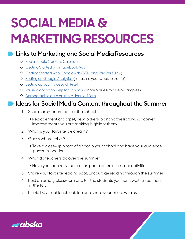# **SOCIAL MEDIA & MARKETING RESOURCES**

### **Links to Marketing and Social Media Resources**

- ◊ [Social Media Content Calendar](https://blog.hubspot.com/blog/tabid/6307/bid/33415/the-social-media-publishing-schedule-every-marketer-needs-template.aspx)
- ◊ [Getting Started with Facebook Ads](https://www.facebook.com/business/ads)
- ◊ [Getting Started with Google Ads \(SEM and Pay Per Click\)](https://ads.google.com/intl/en_us/getstarted/how-it-works/)
- ◊ [Setting up Google Analytics](https://support.google.com/analytics/answer/1008015?hl=en) (measure your website traffic)
- ◊ [Setting up your Facebook Pixel](https://www.facebook.com/business/help/952192354843755?id=1205376682832142)
- ◊ [Value Proposition Help for Schools](https://www.finalsite.com/blog/p/~board/b/post/how-to-craft-a-value-proposition-for-your-school-with-examples) (more Value Prop Help/Samples)
- ◊ [Demographic data on the Millennial Mom](https://www.m2moms.com/fast-facts/)

### **Ideas for Social Media Content throughout the Summer**

- 1. Share summer projects at the school
	- Replacement of carpet, new lockers, painting the library. Whatever improvements you are making, highlight them.
- 2. What is your favorite ice cream?
- 3. Guess where this is?
	- Take a close-up photo of a spot in your school and have your audience guess its location.
- 4. What do teachers do over the summer?
	- $\bullet$  Have you teachers share a fun photo of their summer activities.
- 5. Share your favorite reading spot. Encourage reading through the summer
- 6. Post an empty classroom and tell the students you can't wait to see them in the fall.
- 7. Picnic Day eat lunch outside and share your photo with us.